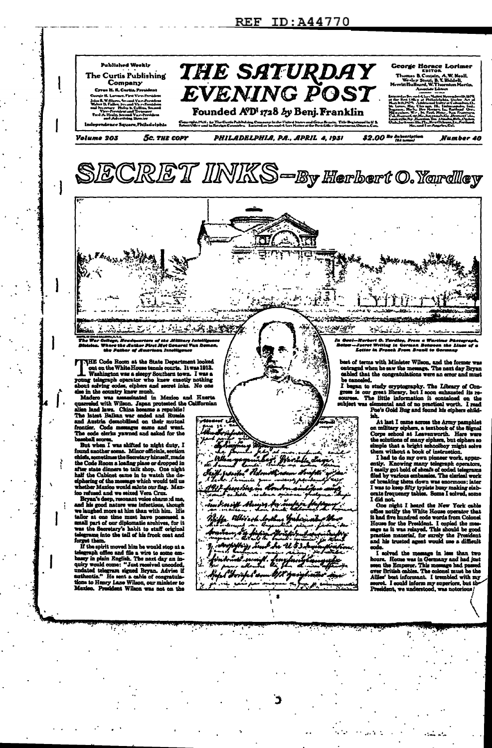

SECRET INKS-By Herbert O. Yardley



ene.<br>16, Headquarters of the Military Intell<br>Pathor of American Intelligence

**THE Code Room at the State Department looked**<br>coat on the White House tennis courts. It was 1913.

out on the White House tennis courts. It was 1913.<br>
young telegraph operator who knew exactly nothing<br>
about solving codes, olphers and secret inks. No one<br>
else in the country knew much.<br>
Madero was assessing the wind.<br> The code elerks yawned and asked for the

he coue energy persons and indice the Business But when I was shifted to night duty, I<br>But when I was shifted to night duty, I<br>sund another scene. Minor officials, section<br>hists, sometimes the Secretary himself, made<br>and d ement, sometimes the convention of the Code Room a loading place or dropped in<br>after state dinners to talk shop. One night half the Cohinet earne in to watch the of<br>place of the message which would tell us whether Maxico w so refused and we seized Vera Cruz

iso refused and we seized Vera Cruz.<br>
Reyan's deep, resonant voice charm xi me,<br>
and his good nature was infectious, though<br>
we laughed more at him than with him. His<br>
tailor at one time must have possessed a<br>
small part o the Secretary's habit to stuff original rams into the tail of his frock coat and it them. t.

iť ú e spirit moved him he would stop at a It tas spirit moved nin he would stop at a<br>telegraph office and file a wive to some em-<br>telegraph office and file a wive to some em-<br>quiry would come: "Just received uncoded,<br>undated telegram signed Bryan. Advise if<br>author

j. Jirichle a R.L Ah چکر ودرہ وعسكرة ند پوس*الود* -11.51 ýł. **ME. je ru** Yoriya i'w .bit i

i<br>rt O. Tardie,<br>"riting in G rvon e Wei<br>maa Betur<br>1 Bre ley, Jes en en Fisk<br>198 the Line<br>1945

mt of terms with Minister Wilson, and the former was<br>utraged when he saw the message. The next day Bryan outraged when he saw the mes sabled that the congratulations were an error and must be can

be cancered.<br>
I hegan to study exptography. The Library of Congress is our great library, but I soon exhausted its resources. The little information it contained on the courses. Pos's conditional on the problem is posted b ish.

iah.<br>At last I came across the Army pamphles<br>on military ciphers, a textbook of the Signal<br>Corps school at Leavenworth. Here were<br>the solutions of many ciphers, but ciphers so<br>simple that a bright schoolboy might solve<br>the

tiy. Knowing many telegraph opera I camiy got nona or means or consulteignums<br>filed by various embassion. The clerical work<br>of breaking them down was controlus; later<br>I was to keep fifty typists busy making elaborate frequency tables. Some I colved, some<br>p I did not.

I did not.<br>One night I heard the New York cable<br>office notify the White House operator that<br>it had five hundred code words from Colonel<br>House for the President. I copied the mea-<br>sage as it was relayed. This should be good

coa.<br>I solved the message in less than two<br>hours. House was in Germany and had just seen the Emperor. This message had passed<br>over British cohes. The colonel must be the<br>Allies' best informant. I trembled with my et. I could inform my superiors, but the<br>sident, we understood, was notorious!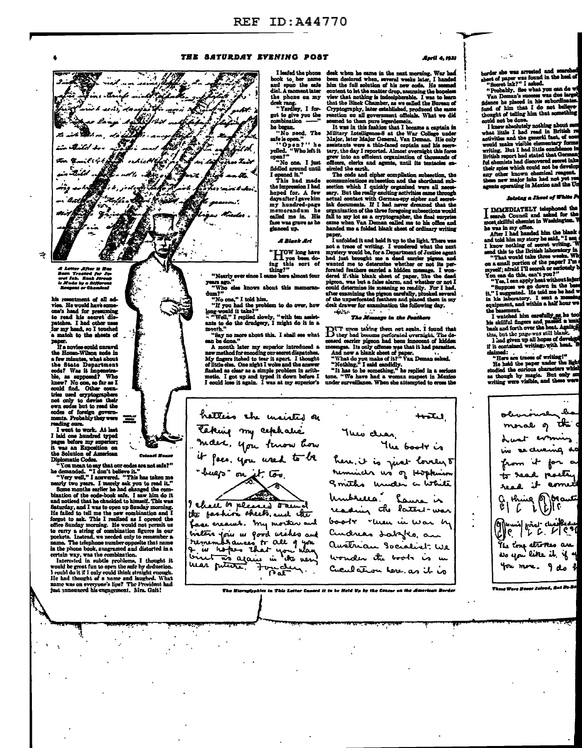#### THE SATURDAY EVENING POST

I leafed the phone book to, her name<br>and spun the safe<br>dial. A moment later the phone on my<br>desk rang.<br>"Yardley, I for-

got to give you the

combination ---<br>he began.<br>"No need. The<br>safe is open."<br>"Open?" he<br>yelled. "Who left it yelled. "Who  $\frac{1}{\text{open} n}$ "No one. I jur

fiddled around until I opened it."<br>This had made

the impression I had<br>hoped for. A few days after I gave him<br>my hundred-page memorandum called me in. His glanced up.

#### **A Black Art**

"How long have<br>ing this sort of<br>thing?"

"Nearly ever since I came here almost four years ago."<br>"Who else knows about this

dum?"

long-would it take?"<br>" "Well," I replied slowly, "with ten assistants to do the drudgery, I might do it in a<br>ands to do the drudgery, I might do it in a

Say no more about this. I shall see what can be done."

exa os aons."<br>A month later my superior introduced a<br>new method for encoding our secret dispatches.<br>My fingers itched to tear it apart. I thought  $M$  fingers itched to tear of little class. diabled as clear as a simple problem in arithmetic. I got up and typed it down before I I could lose it again. I was at my superior's

hattess the maisted on

Teking my cephalic

desk when he came in the next morning. War had<br>been declared when, several weeks later, I handed<br>him the full solution of him soweds. He nexes of the full solution<br>outent to let the matter drop, assuming the hopeless<br>view seemed to them pure legerdemain.<br>It was in this fashion that I been

e a captain in Nilitary Intelligence S at the War College under<br>Military Intelligence S at the War College under<br>Major General, Van Deman. His only<br>assistants were a thin-faced captain and his secretary, the day I reported. Almost overnight this force grew into an efficient organization of thousands of officers, eleris and agents, until its tentacles encircled the earth.

The code and cipher compilation subsection, the<br>communications subsection and the shorthand subcommunications subsettion and the shorthand subsettion which I quickly organized were all necestary. But the really exciting activities came through actual contact with German-spy eipher and secretink documents. If I had n paper.<br>I unfolded it and held it up to the light. There was

I unfolded it and held it up to the light. There was<br>not a trace of writing. I wondered what the next<br>not a trace of writing. I wondered what the next<br>had just brought me a dead earnier pigeon and<br>wanted me to determine w obiene. in al

#### The Message in the Footh

DUT uron taking them out again. I found that<br>D they had become perforated overnight. The de-<br>ceased earrier pigeon had been imnocent of hidden<br>meanges. Its only offense was that it had paramics.<br>And now a blank sheet of p

لمتحطا



border she was arrested and se border and was arrested and someoned<br>aheet of paper was found in the heel of "Socret ink?" I asked.

"Probably. See what you can do w Yan Deman's success was due larged<br>fidence he placed in his subordinates.<br>fond of him that I do not believe<br>fond of him that amething thought of telling him that some could not be done.

could not be done.<br>I knew absolutely nothing about sem<br>what little I had read in British re<br>activities and the general fact, of com<br>would make visible elementary forms<br>would make visible elementary forms would make visible elementary forms<br>writing. But I had little confidence in<br>British report had stated that German<br>ful chemists had discovered secret in<br>British their spies which could not be developed<br>any other known chemi my ones suovu enement reagent.<br>hese new major inks had not yet rea<br>gents operating in Mexico and the Un

#### **Salatas a Sheet of White P**

I IMMEDIATELY telephoned the<br>I search Council and asked for the<br>most, skillful chemist in Washington. W

most skillful chemist in Washington. We want in youthouse the Mark and told him my story he said, "I am a I know nothing of escret writing. We said this to the British laboratory in erad this to the British laboratory in "

on a small portion of the paper 1 ms region of the paper 1, a<br>really by a sea do this, early you ?"<br>You can do this, early you?"<br>"Yes, I can apply heat without injuri<br>"Suppose we go down in the base<br>in his ishoratory. I se

equipment, and within a nait nour we<br>the basement.<br>I watched him carefully as he tool<br>his skillful fingers and passed a small<br>back and forth over the heat. Agains,<br>the has in the heat and in and given up all hopes of devel

ā.

claimed:<br>"Here are traces of writing!"<br>He held the paper under the light<br>studied the curious characters which squest the curious characters which<br>as though by magic. But only and<br>writing were visible, and these were

moral of

se during

read pastu

معلم

 $+$ 

read it

 $e \mid f$ 

thing of

9 Junio 1 river charge des

.<br>The long strokes are<br>wo you like it. if a

you more. 9 do

w Were Hover Solved, But No-Do

مناك

 $\frac{1}{2}$ 

eomet

7 PM

case Department could find. Other coun-<br>tries used cryptographers<br>not only to devise their<br>own codes but to read the<br>codes of foreign governments. Prohably they were<br>mealing ours I went to work. At last I went to work. At many<br>I laid one hundred typed<br>pages before my superior;<br>it was an Exposition on<br>the Solution of American<br>Diplomatic Codes. Colo nal Mo



puonamo Coues.<br>"You mean to say that our codes are not safe?"<br>elemanded. "I don't believe it."<br>"Yery well," I answered. "This has taken me

z

an.

for my head, so I touched

If a novice could unray

the House-Wilson code in

a few minutes, what about the State Department

ding ours.

rt Za is Made by a Differ

paper.

. Back Jer

ntment of all adma resourcent or an accounting consideration of the constant of the constant of the constant of the constant of the constant of the constant of the constant of the constant of the constant of the constant of the constant o

"Very well," I answered. "This has taken me<br>nearly two years. I merely sak you to read it."<br>Some months earlier he had changed the com-<br>bination of the eode-book safe. I saw him do it<br>and nothed that he chuckled to himsel

poekets. Instead, we needed only to remember a<br>name. The telephone number opposite that name<br>in the phone book, auagramed and distorted in a<br>errini way, was the combination.<br>Interested in subtle problems. I thought it<br>wou

mais, you know how it foes, you used to be "bues" on it. too. I chall be pleased town of the fachion sheets, and the face creams. My morter and

Yhe bootr is here, it is just lovely  $\sigma$ reminds no of Hopkins Smiths under a white hmbrues. Laure is reading the later - war 18 Vinen in war h take when it good victors and<br>remembrances to all g you<br>of it hopes that you near

andreas datzles, am austrian Socialist We wonder the book is un mes pitter Fouder. Cuculation Leve, as it is .<br>The Mierzglyphics in This Letter Cassed it to be Hold Up by the Consor on the American Border

Ywo dier.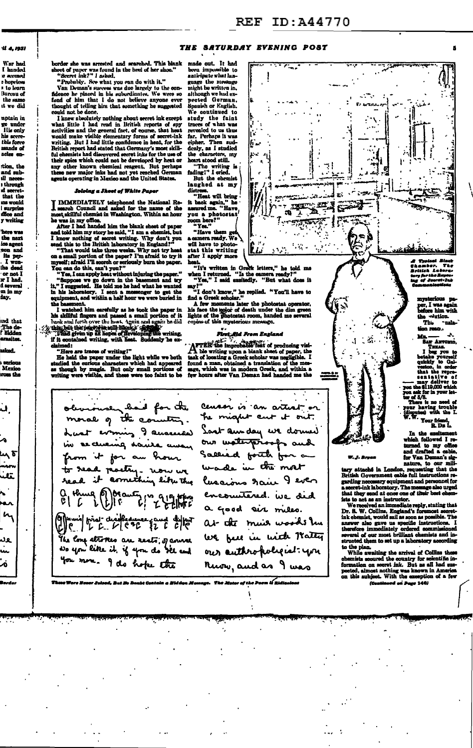#### THE SATURDAY EVENING POST

**H** 4, 1931

*a* myned e hopeless<br>a to learn<br>Burenu of the sa

sotain in ge under<br>Ilis only his seem this force mands of ncles en-

tion, the<br>and sub-<br>ill necesan neces-<br>
a through<br>
a secret-<br>
that the<br>
ans would *I* surprise m. m y writing

'here was<br>the next ice agent its per-<br>I won-<br>the dead  $or not$ or not 1<br>nr I had,<br>d several<br>m in my<br>day,

ind that niu tant<br>The de-<br>! Bidden arasites

ankad.

serious<br>Mexico ross the

ِ ل ∽ **سر 7** يتعت ь. **سما**  $m$ عذ شه. ة

War had<br>I handed it we did

"Scere ink?"  $l$  asked,<br>"Probubly. See what you can do with it,"<br>"Yan Deman's success was duo largely to the con-<br>fidence he placed in his subvedimines. We were so<br>fond of him that  $l$  do not believe anyone ever<br>thought o thought of telling him that something he suggested<br>could not be done.<br>I knew absolutely nothing about secret ink except<br>what little 1 had read in British reports of spy<br>activities and the general fact, of course, that heat

border she was arrested and scarched. This blank

sheet of paper was found in the heal of her shoo."<br>"Sceret ink?" I asked,

ful chemists had discovered secret inks for the use of<br>their spies which could not be developed by heat or there have a move to the capture of the control of the state of the capture these new major inks had not yet reached German agents operating in Mexico and the United States.

#### **Solving a Sheet of White Paper**

I IMMEDIATELY telephonod the National Re-<br>I search Council and asked for the name of the

1 search Council and asked for the name of the<br>search Council and asked for the name of the<br>most skillful chemist in Washington. Within an hour<br>and told him the bank sheet of paper<br>and told him my story he said, "I am a c he hearmont.

the benessed.<br>I washed him earsfully as he took the paper in<br>this akilikul fingers and passed a small portion of it<br>buck and forth over the heating in the did<br>spin and squire the heating of the small portion of the<br>spin an

elaimed:

claimed:<br>
"Here are traces of writing!"<br>
He held the paper under the light while we both<br>
stadied the curious characters which had appeared<br>
as though by magic. But only small portions of<br>
writing were visible, and these w

ible to been impos aniripate what lananterpare what the<br>guage the newslope<br>night be written in,<br>although we had ex-<br>pected Germun,<br>Spanish or English. Spans or raguse.<br>We continued to<br>study the faint<br>traces of what was<br>revealed to us thus revence to us thus<br>cipher. Then sud-<br>denly, as I studied<br>the characters, my<br>heart stood still.

made out. It had

"The writing is<br>fading!" I cried.<br>But the chemist ughed at my

stress.<br>"Heat will bring<br>back again," he distr

"Heat Will bring"<br>
assured me. "Have,<br>
you a photostat"<br>
you a photostat"<br>
room here?"

"I ce."<br>"Have them get,"<br>a camera ready. We will have to p will nave to photo-<br>stat this writing<br>after I apply more

sure a server when in Greek letters," he told me<br>when I returned. "Is the camera ready?"<br>"Is and excitedly. "But what does it<br>"Yes," I said excitedly. "But what does it

say?"<br>"I don't know," he replied. "You'll have to<br>find a Greek scholar."

nma server sences...<br>A few moments later the photostat operator, his face the igolor of death under the dim green<br>lights of the photostat room, handed me several<br>copies of this mysterious message.

First Aid From England<br>  $T = \frac{1}{2}$ <br>  $\frac{1}{2}$ <br>  $\frac{1}{2}$ <br>  $\frac{1}{2}$ <br>  $\frac{1}{2}$ <br>  $\frac{1}{2}$ <br>  $\frac{1}{2}$ <br>  $\frac{1}{2}$ <br>  $\frac{1}{2}$ <br>  $\frac{1}{2}$ <br>  $\frac{1}{2}$ <br>  $\frac{1}{2}$ <br>  $\frac{1}{2}$ <br>  $\frac{1}{2}$ <br>  $\frac{1}{2}$ <br>  $\frac{1}{2}$ <br>  $\frac{1}{2}$ <br>  $\frac{1}{2}$ 

ousen had for the moral of the country. ust evening I ausuced se dueing danke away المما from it for an hour to read poetry- now we<br>read it cornecting like the Q thing of deams ; " a filler Openio pino-dicipana fame flut The lone eltomes are reato; of course<br>wo you like it. if afour do See ead you now. I do hope the

Censor is an artist or he might cut it out. Last aunday we downed our waterprisofs and Sallied forth for a wade in the most Kusaisus gain 9 even encountered we did a good air miles. at the mais woods hu we feel in with Watty our authropoliquet : you Ruon, and as I was



 $\sqrt{N}$ 

 $\mathcal{L}$ 

W.J. Broom

d Typisal Bia<mark>n</mark><br>Chamber, The **British Labore<br>Sery for the Expection**<br>Lag of Jearnt-Zai

> nvsterious r per, I was again<br>before him with the plution .<br>Task

ion reco.

n.<br>Bar Anton

Sam Antonno,<br>Taxas.<br>I beg you to<br>betake yourself<br>quickly to Gal-<br>that the repre-<br>sea is tive of<br>may deliver to<br>may deliver to<br>the \$110,000 which<br>he S110,000 which<br>he S110,000 which

ask for in your let-<br>of 5/8.<br>There is no need of<br>ur having trouble<br>sputes) with the I.

Your friend,<br>R. D. L.

In the excitement<br>which followed I returned to my office and drafted a cable, for Van Deman's signature, to our mil-

nature, to our mili-<br>
Britan instance, to our mili-<br>
Britan identical in London, requesting that the<br>
Britan Government cable full instructions re-<br>
assert-ink laboratory. The message also urged<br>
that they send at once one structed them to set up a laboratory according

structed them to set up a mixinion, we consider the phane of Collins these chemists societed with the country for selection formation on secret ink. But as all had queposed, almost nothing was known in America on this sub

.<br>Iro Nover Solved, But No Donbt Contain a Niddon Mossage. The Meter of the Poem is Ridioni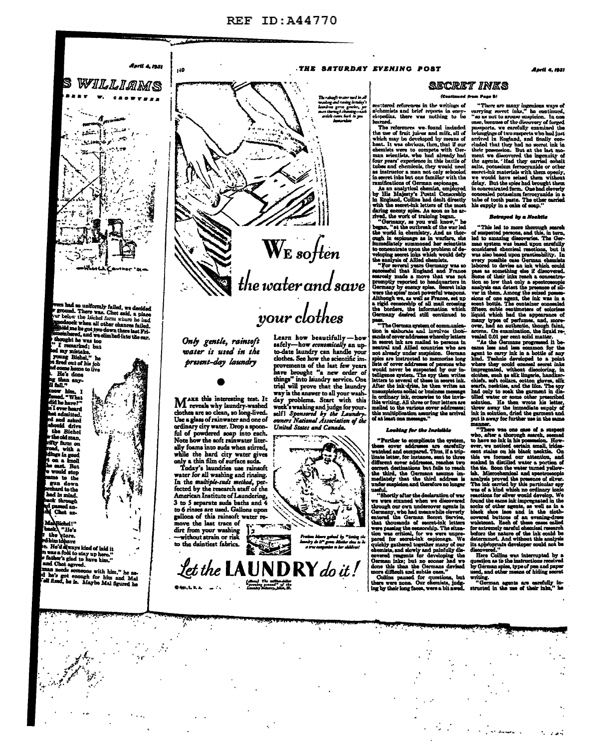140





MAKE this interesting test. It<br>clothes are so clean, so long-lived. Use a glass of rainwater and one of ordinary city water. Drop a spoonful of powdered soap into each. Note how the soft rainwater literally foams into suds when stirred, while the hard city water gives only a thin film of surface suds.

Today's laundries use rainsoft vater for all washing and rinsing.<br>In the multiple-suds method, per-<br>fected by the research staff of the American Institute of Laundering, 3 to 5 separate suds baths and 4 to 6 rinses are used. Gallons upon gallons of this rainsoft water renove the last trace of

dirt from your washing to the daintiest fabrics.

way in the answer to an your week's washing and judge for yourween a washing nine jumps .... , ........<br>self! Sponsored by the Laundry-<br>owners National Association of the United States and Canada.



Let the LAUNDRY do it!

THE SATURDAY EVENING POST

#### **SECRET INKS**

#### $10 - 11$ a Mana Bi

scattered reforences in the writings of<br>alchemists and brief reports in ency-<br>clopedias, there was nothing to be

alchemists and brief reports in encyclelessizes and brief reports in encycleling to the orient file use of fruit pieces and milik, all of which may to developed by means of back. It was obvious, then, that if our back that

buga in convention to the matter and the model from the property of the analysis of concentrate upon the problem of dependence this which will defy when analysis of Allied chamists.<br>Supplying several peaks of the analysis

ue when the desired still continued to peace of the control of the same of communication is elaborate and involves the<br>dermany desired still continued to same in the same of contrast in section is seen and the persons in i

#### **Looking for the Invisible**

"Further to complicate the system, these cover addresses are carefully vatiched and compared. Thus, if a triplicate letter, for instance, sent to three different cover addresses, reaches two correct destinations but fails ourieus designations out mais the third, the Germans assume im-<br>mediately that the third address is<br>under suspicion and therefore no longer useful.

""Shortly after the declaration of war<br>"Shortly after the declaration of war<br>we were stunned when we discovered through our own undercover agents in<br>Germany, who had meanwhile eleverly<br>end the German Secret is<br>crising, tha mur.<br>"Shortly after the declaration of war

from Page 8)<br>
"There are unary ingenious ways of<br>
"There are unary ingenious ways of<br>
"urrying servert inks," he continued,<br>
"so no not to arouse suspicion. In one<br>
passports, we carefully examined the<br>
holongings of two

#### **Betrayed by a Necktle**

net supply  $-$  - and to more through particle of the control of supported persons, and this, in turn, led to maxing discoveries. The German system was based upon practicularly. In turn, led to annaring discoveries. The Ge

inh. Microohemical and spectroscopic and spectroscopic analysis proved the presence of silver. The ink carried by this particular spy was of a kind which no ordinary tomic reactions for silver would develop. We found the for extensive careful control be ink could be<br>before the nature of the ink could be<br>determined. And without this analysis<br>its appropriate developer could not be

ne appropriate usesuper count me as<br>discovered."<br>Here Collins was interrupted by a<br>question as to the instructions received<br>by German spice, type of pen and paper<br>used, and other means of hiding secret

writing.<br>
"German agents are earcfully in-<br>
"German agents are earcfully in-<br>
structed in the use of their inks," he

.<br>April 4, 1931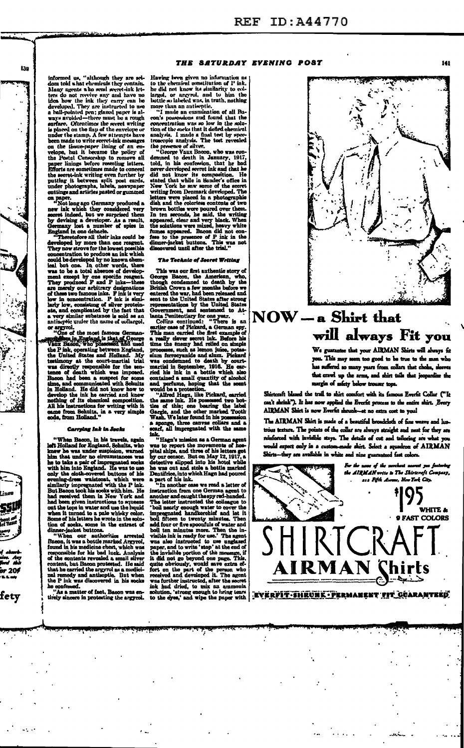#### THE SATURDAY EVENING POST

informed us, "although they are sel-<br>dom told what chemicals they centain.<br>Many agents who send secret-ink letdom told what chemicals they contain.<br>Many agents who send sered-ink let-<br>middle above the same inverse any and have no<br>idea how the ink they carry can be developed. They are instructed to use<br>a hall-pointed per; glazed p been made to write secret-ink messages<br>on the tissue-paper liming of an easy-<br>order when the beame the policy of<br>the Postal Censorship to remove all<br>paper limings before researing is<br>direct made for the Efforts are sometim

130

under pnotographs, means, news, news, news, news, news, news, news, news, and arisicles pushed or gummed<br>on paper. "Not long ago Germany produced a new ink which they considered very second inclusion of the survey of the n

antiseptic under the neares of the most famous of any or any of the most famous derman-<br>including in England is that of George Vaint Bacon, who is the propertied that used<br>the Pink, operating between England, the United St time, and communicated with Schultz<br>in Holland. He did not know how to<br>develop the ink he carried and knew<br>nothing of its chemical composition.<br>All his instructions for writing with it<br>came from Schultz, in a very simple<br>c

#### vrsing ink in Socks

Carrying last in Joela<br>
"When Bacon, in his travels, again<br>
left Hollsand for England, Schultz, who<br>
know he was under anoidroins, warned<br>
know he was under anoidroins, warned<br>
with him into England. He was to use<br>
with h

ines l şşµ

ilee Ang<br>Eest Ahl or 204

fety

Having been given no information as<br>to the chemical constitution of  $P$  ink. to the did not know its similarity to collarged, or angyrol, and to him the bottle so labeled was, in truth, nothing

anya, or anyay, and us mun to mind the<br>subtle scalar between that the contention of all Re-<br>"I make an examination of all Re-<br>con's possessions and found that the<br>con's possessions and found that the<br>con's possessions and dish and the colorless contents of two<br>brown bottles were poured over them.<br>In ten seconds, he said, the writing<br>appeared, clear and very black. When<br>the solutions were mixed, heavy white<br>funses appeared. Bacon did not con

#### The Technic of Secret Writing

The Technic of Secret Writing<br>This was our first authentic story of George Bacon, the American, who,<br>though condemned to desith by the Bridah Crown a few months before we<br>sent to the United States after strong representat



# $\bf{Now} = \bf{a}$  Shirt that will always Fit you

We guarantee that your AIRMAN Shirts will always fit you. This may seem too good to be true to the man who has suffered so many years from collars that choke, sleeves that crawl up the arms, and shirt tails that jeopardine the surgin of safety below trouser tops.

Shirteraft blaned the trail to shirt comfort with its famous Everfit Collar ("It can't shrink"). It has now applied the Everfit process to the entire shirt. Every AIRMAN Shirt is now Everfit shrunk-at no extra cost to you!

The AIRMAN Shirt is made of a beautiful broadcloth of fine weave and lustrous texture. The points of the collar are always straight and neat for they are

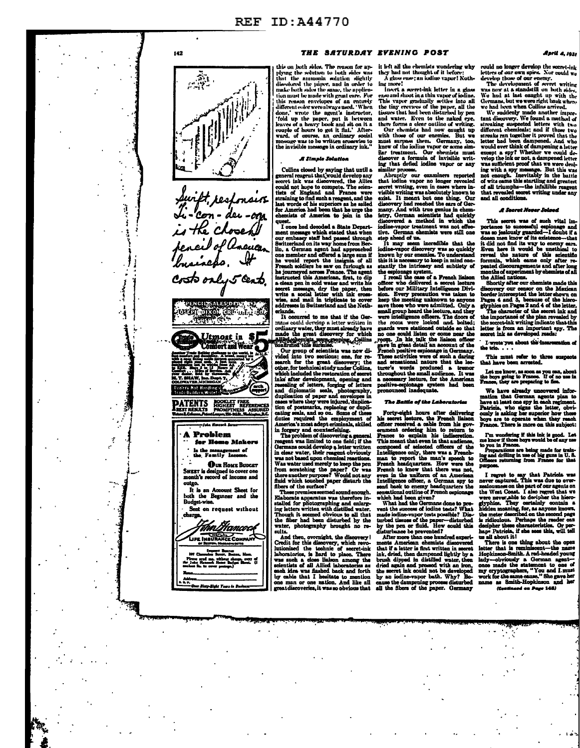

ĝ.

ł

I

1

reuten مبر<br>منتقل -<br>Ingawa Baurus<br>ndon Strest, Bost  $\cdots$  contension Street, Boston, Mass. Please area me, whileng sharps, copy of the John Hamosch Hoston and Holys Should (I

.<br>Sinty-Eight Years in Busin

#### THE SATURDAY EVENING POST

this on both sides. The reason for applying the solution to both sides was that the animonia solution slightly discolored the paper, and in order to make both sides the same, the application must be made with grant care. F this reason envelopes of an entirity<br>different color were always used. When<br>done, wrote the ngent's instructor, done, wrote the agent's instructor,<br>fold up the paper, put it between leaves of a heavy book and sit on it a<br>couple of hours to get it flat.' After-<br>ward, of course, an ordinary social message was to be written ereasivel t

#### A Simple Solution

Collins closed by saying that until a general reagent that would develop any secret ink was discovered, the Allies could not hope to compete. The scientists of England and France were extraining to find such a reagent, and the last words of his superiors as he sailed for America had been that he urge the chemists of America to join in the overt.

quest.<br>I once had decoded a State Depart-<br>ment message which stated that when<br>our embasy staff had passed through<br>Switzerland on its way home from Ber-Switzerland on its way home from Bert<br>lin, a German agent had approached<br>one member and offered a large sum if<br>he would report the insignis of all<br>French soldiers he asw on furlough as<br>the journeyed across France. The agen a clean pen in cold water and write his secret message, dry the paper, then<br>write a social letter with ink cross-<br>wise, and mail in triplicate to cover<br>addresses in Switzerland and the Netheriande.

erlands.<br>It occurred to me that if the Ger-<br>Intans could develop a letter written in<br>ordinary water, they must already have<br>made the great discovery for which<br>and the great discovery for which made the great discovery for which<br>Allied chemists were groping, Collins<br>confirmed this surmise.

confirmed this furthermore, and the state of the value of steading of steading of steading of steading the whole object, or the pressure which included the restoration of section which included the restoration of secret re cating seals, and so on. Some of these<br>duties required the employment of<br>America's most adept criminals, skilled

America's most adopt criminals, skilled<br>in forgery and counterfeiting.<br>In The problem of discovering a general<br>reagent was limited to one field; if the<br>Germans outed develop a letter written<br>in clear water, their reagent o

These prematus wears and therefore in-<br>stalled for photographing and enlarge-<br>stalled for photographing and enlarge-<br>ling letters written with distilled water.<br>Though it seemed obvious to all that<br>the fiber had been distur

sults.<br>And then, overnight, the discovery! And then, overright, the discovery luxionized<br>correlation contribution of secret-ink lubratories, is hard to place, There<br>is lubratories, and the place of the was such a close linking anomay the<br>seientists of all Allied l reat discoveries, it was so obvious that

it left all the chemists wondering why they had not thought of it before:<br>A glass ener; an iodiue vapor! Nothing more!

ing more!<br>a meret-ink letter in a glass ease and shoot in a thin vapor of iodine.<br>This vapor gradually settles into all<br>the tiny erecutes of the paper, all the<br>tissues that had been disturbed by pen<br>tissues that had been d and water. Even to the naked eye. and water. Even to the naked cyc.<br>there forms a clear outline of writing.<br>Our chemists had now eaught up<br>with those of our enemies. But we<br>must surpose of the noncel. Hence, then<br>there of the iodius vapor or some sim-<br>that ...<br>ilar pr siñ

and a minimum of the main of the same of the simular process.<br>Abruptly our examiners reported that is<br>dime vapor no longer revealed secret writing, even in cases where invisible writing was absolutely known to<br>discovery ha

step ahead of unminoredible that the induction in the mass section in the indirection of parameters and the indirect this it is necessary to keep in mind constantly the intriescy and subtlety of the equionary to keep in m directions are small additions. It was necessary lecture, for the American positive-explorage system had been pronounced inadequate.

#### The Battle of the Laborate

Forty-eight hours after delivering<br>his secret lecture, the French linion of<br>ficer received a solid from his gov-<br>memora ordering him to return to<br>France to explain his indiscretion.<br>This meant that even in that audience,<br>c even in the uniform of an American<br>Intelligence officer, a German spy to<br>send back to enemy headquarters the<br>sensational outline of French espionage

which had been given?<br>What had the Germans done to pre-What had the Germanu done to pre-<br>
vent the success of coldine tental made indirection of the paper---disturbed<br>
investors of the paper---disturbed<br>
by the peap or fluid. How could this<br>
disturbance be prevented?<br>
After mo

ments American chemists discovered ments American chemistic discovered<br>that if a latter is first written in secret<br>ink, dried, then dampened lightly by a<br>hund dipped in distilled water, then<br>dried again and pressed with an iron,<br>the secret ink could not be

# rould no longer develop the secret-ink<br>letters of our own spies. Not could we<br>develop those of our enemy.<br>The development of secret writing

was now at a standard on both sides.<br>We had at last eaught up with the

We had at the date caught up with the Granans, but we were right back were<br>we had been when Collins arrived.<br>We suddenly made another inper-<br>trant discovery. We found a method of<br>streaking suspected letters with two<br>differ would be spy? Whether we could de-<br>except a spy? Whether we could de-<br>velop the ink or not, a dampened letter<br>was sufficient proof that we were dealwas summer proof that we were deal-<br>ing with a spy message. But this was<br>not enough. Inevitably in the buttle<br>of wits came this startling and greatest<br>of all triumphs—the infallible reagent<br>that revealed secret writing und

#### **A Secret Never Solved**

This secret was of such vital importance to successful espionage and<br>was so jeslously guarded-I doubt if a<br>dozen men know of its existence---that dozen men know of its actionse--that<br>it did not find its way to energy earn,<br>Even here it would be unethical to<br>reveal the nature of this scatted<br>formula, which cance only after re-<br>peated discouragements and after long<br>mo

Shortly after our consort on the Mexican<br>discovery our censor on the Mexican<br>border intercepted the letter shown on<br>Pages 4 and 5, because of the hierco-<br>glyphies on Pages 2 and 4 of the letter.<br>The character of the secret letter is from an important spy. The secret ink as developed reads:

I wrote you about the incarceration of  $trio.$ ...

This must refer to three suspethat have been arrested.

Let me know, as soon as you can, about<br>ie boys going to France. If of no use in<br>rance, they are preparing to fice.

We have already uncovered information that German agents plan to have at least one apy in each regriment.<br>Patricia, who eigns the letter, obviously is asking her superior how these boys are to operate when they reach<br>France. There is more on this subject:

Fm wondering if this ink is good. Let me know if those boys would be of any use to you in France.<br>  $\blacksquare$  <br> From the property of the property of the property in the property<br>in the property of the property of the order in **DILTONS** 

I regret to any that Patricia was<br>never captured. This was due to over-<br>sealousness on the part of our agents on<br>the West Coast. I also regret that we<br>were never able to decipher the hiero-<br>were never able to decipher the were never able to to deviate the network of the methods of children meaning, for, as anyone knows, the method of the second page is ridiculous. Perhaps the reader can decipher these characteristics. Or perhaps the happ Pa

us all about it!<br>There is one thing about the open<br>letter that is reminiscent—the name<br>Hopkinon-Smith. A red-hosted young<br>lady-obyiously a German agent—<br>once made the statement to one of<br>my cryptographers, " fou said 1 mus